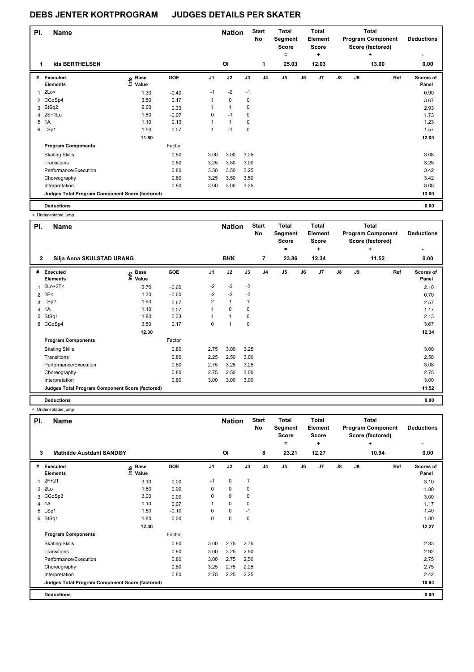| PI. | <b>Name</b>                                     |                            |         |                | <b>Nation</b>  |      | <b>Start</b><br>No | <b>Total</b><br>Segment<br><b>Score</b><br>۰ |    | <b>Total</b><br>Element<br><b>Score</b><br>٠ |               |    | <b>Total</b><br><b>Program Component</b><br>Score (factored)<br>÷ | <b>Deductions</b>  |
|-----|-------------------------------------------------|----------------------------|---------|----------------|----------------|------|--------------------|----------------------------------------------|----|----------------------------------------------|---------------|----|-------------------------------------------------------------------|--------------------|
| 1   | <b>Ida BERTHELSEN</b>                           |                            |         |                | O <sub>l</sub> |      | 1                  | 25.03                                        |    | 12.03                                        |               |    | 13.00                                                             | 0.00               |
|     | # Executed<br><b>Elements</b>                   | <b>Base</b><br>١m<br>Value | GOE     | J <sub>1</sub> | J2             | J3   | J <sub>4</sub>     | J <sub>5</sub>                               | J6 | J7                                           | $\mathsf{J}8$ | J9 | Ref                                                               | Scores of<br>Panel |
| 1   | 2Lo<                                            | 1.30                       | $-0.40$ | $-1$           | $-2$           | $-1$ |                    |                                              |    |                                              |               |    |                                                                   | 0.90               |
|     | 2 CCoSp4                                        | 3.50                       | 0.17    | $\mathbf{1}$   | $\mathbf 0$    | 0    |                    |                                              |    |                                              |               |    |                                                                   | 3.67               |
|     | 3 StSq2                                         | 2.60                       | 0.33    | 1              | $\mathbf{1}$   | 0    |                    |                                              |    |                                              |               |    |                                                                   | 2.93               |
|     | 4 2S+1Lo                                        | 1.80                       | $-0.07$ | 0              | $-1$           | 0    |                    |                                              |    |                                              |               |    |                                                                   | 1.73               |
| 5   | 1A                                              | 1.10                       | 0.13    | 1              | $\mathbf{1}$   | 0    |                    |                                              |    |                                              |               |    |                                                                   | 1.23               |
|     | 6 LSp1                                          | 1.50                       | 0.07    | $\mathbf{1}$   | $-1$           | 0    |                    |                                              |    |                                              |               |    |                                                                   | 1.57               |
|     |                                                 | 11.80                      |         |                |                |      |                    |                                              |    |                                              |               |    |                                                                   | 12.03              |
|     | <b>Program Components</b>                       |                            | Factor  |                |                |      |                    |                                              |    |                                              |               |    |                                                                   |                    |
|     | <b>Skating Skills</b>                           |                            | 0.80    | 3.00           | 3.00           | 3.25 |                    |                                              |    |                                              |               |    |                                                                   | 3.08               |
|     | Transitions                                     |                            | 0.80    | 3.25           | 3.50           | 3.00 |                    |                                              |    |                                              |               |    |                                                                   | 3.25               |
|     | Performance/Execution                           |                            | 0.80    | 3.50           | 3.50           | 3.25 |                    |                                              |    |                                              |               |    |                                                                   | 3.42               |
|     | Choreography                                    |                            | 0.80    | 3.25           | 3.50           | 3.50 |                    |                                              |    |                                              |               |    |                                                                   | 3.42               |
|     | Interpretation                                  |                            | 0.80    | 3.00           | 3.00           | 3.25 |                    |                                              |    |                                              |               |    |                                                                   | 3.08               |
|     | Judges Total Program Component Score (factored) |                            |         |                |                |      |                    |                                              |    |                                              |               |    |                                                                   | 13.00              |
|     | <b>Deductions</b>                               |                            |         |                |                |      |                    |                                              |    |                                              |               |    |                                                                   | 0.00               |

< Under-rotated jump

| PI.            | <b>Name</b>                                     |                            |         |      | <b>Nation</b> |             | <b>Start</b><br>No | <b>Total</b><br>Segment<br><b>Score</b><br>۰ |    | <b>Total</b><br>Element<br><b>Score</b><br>÷ |               |    | <b>Total</b><br><b>Program Component</b><br>Score (factored)<br>٠ | <b>Deductions</b><br>۰ |
|----------------|-------------------------------------------------|----------------------------|---------|------|---------------|-------------|--------------------|----------------------------------------------|----|----------------------------------------------|---------------|----|-------------------------------------------------------------------|------------------------|
| $\overline{2}$ | Silja Anna SKULSTAD URANG                       |                            |         |      | <b>BKK</b>    |             | 7                  | 23.86                                        |    | 12.34                                        |               |    | 11.52                                                             | 0.00                   |
| #              | Executed<br><b>Elements</b>                     | e Base<br>E Value<br>Value | GOE     | J1   | J2            | J3          | J <sub>4</sub>     | J <sub>5</sub>                               | J6 | J7                                           | $\mathsf{J}8$ | J9 | Ref                                                               | Scores of<br>Panel     |
|                | $2Lo+2T <$                                      | 2.70                       | $-0.60$ | $-2$ | $-2$          | $-2$        |                    |                                              |    |                                              |               |    |                                                                   | 2.10                   |
|                | $2$ 2F<                                         | 1.30                       | $-0.60$ | $-2$ | $-2$          | $-2$        |                    |                                              |    |                                              |               |    |                                                                   | 0.70                   |
|                | 3 LSp2                                          | 1.90                       | 0.67    | 2    | $\mathbf{1}$  |             |                    |                                              |    |                                              |               |    |                                                                   | 2.57                   |
| $\overline{4}$ | 1A                                              | 1.10                       | 0.07    |      | $\Omega$      | $\mathbf 0$ |                    |                                              |    |                                              |               |    |                                                                   | 1.17                   |
| 5              | StSq1                                           | 1.80                       | 0.33    |      | $\mathbf{1}$  | $\mathbf 0$ |                    |                                              |    |                                              |               |    |                                                                   | 2.13                   |
| 6              | CCoSp4                                          | 3.50                       | 0.17    | 0    | 1             | $\mathbf 0$ |                    |                                              |    |                                              |               |    |                                                                   | 3.67                   |
|                |                                                 | 12.30                      |         |      |               |             |                    |                                              |    |                                              |               |    |                                                                   | 12.34                  |
|                | <b>Program Components</b>                       |                            | Factor  |      |               |             |                    |                                              |    |                                              |               |    |                                                                   |                        |
|                | <b>Skating Skills</b>                           |                            | 0.80    | 2.75 | 3.00          | 3.25        |                    |                                              |    |                                              |               |    |                                                                   | 3.00                   |
|                | Transitions                                     |                            | 0.80    | 2.25 | 2.50          | 3.00        |                    |                                              |    |                                              |               |    |                                                                   | 2.58                   |
|                | Performance/Execution                           |                            | 0.80    | 2.75 | 3.25          | 3.25        |                    |                                              |    |                                              |               |    |                                                                   | 3.08                   |
|                | Choreography                                    |                            | 0.80    | 2.75 | 2.50          | 3.00        |                    |                                              |    |                                              |               |    |                                                                   | 2.75                   |
|                | Interpretation                                  |                            | 0.80    | 3.00 | 3.00          | 3.00        |                    |                                              |    |                                              |               |    |                                                                   | 3.00                   |
|                | Judges Total Program Component Score (factored) |                            |         |      |               |             |                    |                                              |    |                                              |               |    |                                                                   | 11.52                  |
|                | <b>Deductions</b>                               |                            |         |      |               |             |                    |                                              |    |                                              |               |    |                                                                   | 0.00                   |

< Under-rotated jump

| PI.          | <b>Name</b>                                     |                              |            |      | <b>Nation</b> |              | <b>Start</b><br>No | <b>Total</b><br>Segment<br><b>Score</b><br>= |    | <b>Total</b><br>Element<br><b>Score</b><br>٠ |               |    | Total<br><b>Program Component</b><br>Score (factored)<br>٠ | <b>Deductions</b>  |
|--------------|-------------------------------------------------|------------------------------|------------|------|---------------|--------------|--------------------|----------------------------------------------|----|----------------------------------------------|---------------|----|------------------------------------------------------------|--------------------|
| 3            | Mathilde Austdahl SANDØY                        |                              |            |      | OI            |              | 8                  | 23.21                                        |    | 12.27                                        |               |    | 10.94                                                      | 0.00               |
| #            | Executed<br><b>Elements</b>                     | <b>Base</b><br>١nf٥<br>Value | <b>GOE</b> | J1   | J2            | J3           | J <sub>4</sub>     | J <sub>5</sub>                               | J6 | J7                                           | $\mathsf{J}8$ | J9 | Ref                                                        | Scores of<br>Panel |
| $\mathbf{1}$ | $2F+2T$                                         | 3.10                         | 0.00       | $-1$ | $\mathbf 0$   | $\mathbf{1}$ |                    |                                              |    |                                              |               |    |                                                            | 3.10               |
|              | 2 2Lo                                           | 1.80                         | 0.00       | 0    | $\mathbf 0$   | $\mathbf 0$  |                    |                                              |    |                                              |               |    |                                                            | 1.80               |
|              | 3 CCoSp3                                        | 3.00                         | 0.00       | 0    | 0             | 0            |                    |                                              |    |                                              |               |    |                                                            | 3.00               |
|              | 4 1A                                            | 1.10                         | 0.07       |      | $\mathbf 0$   | 0            |                    |                                              |    |                                              |               |    |                                                            | 1.17               |
|              | 5 LSp1                                          | 1.50                         | $-0.10$    | 0    | $\mathbf 0$   | $-1$         |                    |                                              |    |                                              |               |    |                                                            | 1.40               |
| 6            | StSq1                                           | 1.80                         | 0.00       | 0    | $\mathbf 0$   | 0            |                    |                                              |    |                                              |               |    |                                                            | 1.80               |
|              |                                                 | 12.30                        |            |      |               |              |                    |                                              |    |                                              |               |    |                                                            | 12.27              |
|              | <b>Program Components</b>                       |                              | Factor     |      |               |              |                    |                                              |    |                                              |               |    |                                                            |                    |
|              | <b>Skating Skills</b>                           |                              | 0.80       | 3.00 | 2.75          | 2.75         |                    |                                              |    |                                              |               |    |                                                            | 2.83               |
|              | Transitions                                     |                              | 0.80       | 3.00 | 3.25          | 2.50         |                    |                                              |    |                                              |               |    |                                                            | 2.92               |
|              | Performance/Execution                           |                              | 0.80       | 3.00 | 2.75          | 2.50         |                    |                                              |    |                                              |               |    |                                                            | 2.75               |
|              | Choreography                                    |                              | 0.80       | 3.25 | 2.75          | 2.25         |                    |                                              |    |                                              |               |    |                                                            | 2.75               |
|              | Interpretation                                  |                              | 0.80       | 2.75 | 2.25          | 2.25         |                    |                                              |    |                                              |               |    |                                                            | 2.42               |
|              | Judges Total Program Component Score (factored) |                              |            |      |               |              |                    |                                              |    |                                              |               |    |                                                            | 10.94              |
|              | <b>Deductions</b>                               |                              |            |      |               |              |                    |                                              |    |                                              |               |    |                                                            | 0.00               |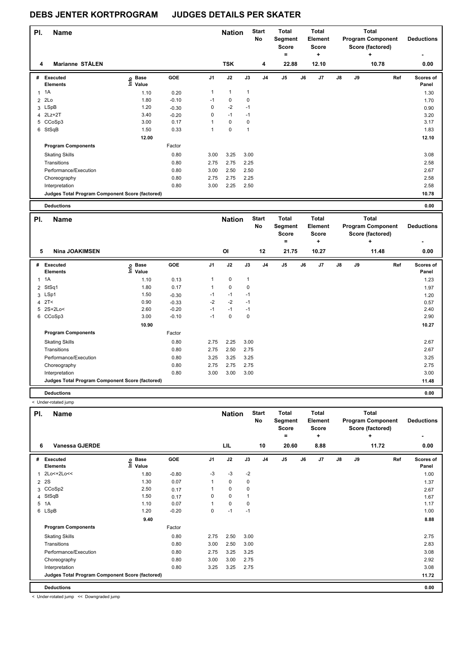| PI.            | <b>Name</b>                                     |                   |         |                | <b>Nation</b> |              | <b>Start</b><br>No | <b>Total</b><br>Segment<br><b>Score</b><br>۰ |    | Total<br>Element<br>Score<br>÷ |               |    | <b>Total</b><br><b>Program Component</b><br>Score (factored)<br>÷ | <b>Deductions</b><br>٠    |
|----------------|-------------------------------------------------|-------------------|---------|----------------|---------------|--------------|--------------------|----------------------------------------------|----|--------------------------------|---------------|----|-------------------------------------------------------------------|---------------------------|
| 4              | Marianne STÅLEN                                 |                   |         |                | <b>TSK</b>    |              | 4                  | 22.88                                        |    | 12.10                          |               |    | 10.78                                                             | 0.00                      |
| #              | Executed<br><b>Elements</b>                     | e Base<br>E Value | GOE     | J <sub>1</sub> | J2            | J3           | J4                 | J5                                           | J6 | J7                             | $\mathsf{J}8$ | J9 | Ref                                                               | <b>Scores of</b><br>Panel |
| $\mathbf{1}$   | 1A                                              | 1.10              | 0.20    | $\mathbf{1}$   | $\mathbf{1}$  | $\mathbf{1}$ |                    |                                              |    |                                |               |    |                                                                   | 1.30                      |
| $\overline{2}$ | 2Lo                                             | 1.80              | $-0.10$ | $-1$           | $\mathbf 0$   | $\mathbf 0$  |                    |                                              |    |                                |               |    |                                                                   | 1.70                      |
|                | 3 LSpB                                          | 1.20              | $-0.30$ | 0              | $-2$          | $-1$         |                    |                                              |    |                                |               |    |                                                                   | 0.90                      |
|                | 4 2Lz+2T                                        | 3.40              | $-0.20$ | 0              | $-1$          | $-1$         |                    |                                              |    |                                |               |    |                                                                   | 3.20                      |
|                | 5 CCoSp3                                        | 3.00              | 0.17    |                | 0             | 0            |                    |                                              |    |                                |               |    |                                                                   | 3.17                      |
|                | 6 StSqB                                         | 1.50              | 0.33    |                | 0             | $\mathbf{1}$ |                    |                                              |    |                                |               |    |                                                                   | 1.83                      |
|                |                                                 | 12.00             |         |                |               |              |                    |                                              |    |                                |               |    |                                                                   | 12.10                     |
|                | <b>Program Components</b>                       |                   | Factor  |                |               |              |                    |                                              |    |                                |               |    |                                                                   |                           |
|                | <b>Skating Skills</b>                           |                   | 0.80    | 3.00           | 3.25          | 3.00         |                    |                                              |    |                                |               |    |                                                                   | 3.08                      |
|                | Transitions                                     |                   | 0.80    | 2.75           | 2.75          | 2.25         |                    |                                              |    |                                |               |    |                                                                   | 2.58                      |
|                | Performance/Execution                           |                   | 0.80    | 3.00           | 2.50          | 2.50         |                    |                                              |    |                                |               |    |                                                                   | 2.67                      |
|                | Choreography                                    |                   | 0.80    | 2.75           | 2.75          | 2.25         |                    |                                              |    |                                |               |    |                                                                   | 2.58                      |
|                | Interpretation                                  |                   | 0.80    | 3.00           | 2.25          | 2.50         |                    |                                              |    |                                |               |    |                                                                   | 2.58                      |
|                | Judges Total Program Component Score (factored) |                   |         |                |               |              |                    |                                              |    |                                |               |    |                                                                   | 10.78                     |
|                |                                                 |                   |         |                |               |              |                    |                                              |    |                                |               |    |                                                                   |                           |

| <b>Deductions</b> | 0.00 |
|-------------------|------|
| .                 | .    |
|                   |      |

H

| PI.          | <b>Name</b>                                     |                   |         |      | <b>Nation</b> |      | <b>Start</b><br>No | <b>Total</b><br>Segment<br><b>Score</b><br>۰ |    | <b>Total</b><br>Element<br>Score<br>٠ |               |    | <b>Total</b><br><b>Program Component</b><br>Score (factored)<br>÷ | <b>Deductions</b>  |
|--------------|-------------------------------------------------|-------------------|---------|------|---------------|------|--------------------|----------------------------------------------|----|---------------------------------------|---------------|----|-------------------------------------------------------------------|--------------------|
| 5            | <b>Nina JOAKIMSEN</b>                           |                   |         |      | OI            |      | 12                 | 21.75                                        |    | 10.27                                 |               |    | 11.48                                                             | 0.00               |
| #            | Executed<br><b>Elements</b>                     | e Base<br>⊑ Value | GOE     | J1   | J2            | J3   | J <sub>4</sub>     | J5                                           | J6 | J7                                    | $\mathsf{J}8$ | J9 | Ref                                                               | Scores of<br>Panel |
| $\mathbf{1}$ | 1A                                              | 1.10              | 0.13    | 1    | $\mathbf 0$   | 1    |                    |                                              |    |                                       |               |    |                                                                   | 1.23               |
|              | 2 StSq1                                         | 1.80              | 0.17    |      | 0             | 0    |                    |                                              |    |                                       |               |    |                                                                   | 1.97               |
|              | 3 LSp1                                          | 1.50              | $-0.30$ | $-1$ | $-1$          | $-1$ |                    |                                              |    |                                       |               |    |                                                                   | 1.20               |
|              | $4$ 2T<                                         | 0.90              | $-0.33$ | $-2$ | $-2$          | $-1$ |                    |                                              |    |                                       |               |    |                                                                   | 0.57               |
|              | 5 2S+2Lo<                                       | 2.60              | $-0.20$ | $-1$ | $-1$          | $-1$ |                    |                                              |    |                                       |               |    |                                                                   | 2.40               |
|              | 6 CCoSp3                                        | 3.00              | $-0.10$ | $-1$ | 0             | 0    |                    |                                              |    |                                       |               |    |                                                                   | 2.90               |
|              |                                                 | 10.90             |         |      |               |      |                    |                                              |    |                                       |               |    |                                                                   | 10.27              |
|              | <b>Program Components</b>                       |                   | Factor  |      |               |      |                    |                                              |    |                                       |               |    |                                                                   |                    |
|              | <b>Skating Skills</b>                           |                   | 0.80    | 2.75 | 2.25          | 3.00 |                    |                                              |    |                                       |               |    |                                                                   | 2.67               |
|              | Transitions                                     |                   | 0.80    | 2.75 | 2.50          | 2.75 |                    |                                              |    |                                       |               |    |                                                                   | 2.67               |
|              | Performance/Execution                           |                   | 0.80    | 3.25 | 3.25          | 3.25 |                    |                                              |    |                                       |               |    |                                                                   | 3.25               |
|              | Choreography                                    |                   | 0.80    | 2.75 | 2.75          | 2.75 |                    |                                              |    |                                       |               |    |                                                                   | 2.75               |
|              | Interpretation                                  |                   | 0.80    | 3.00 | 3.00          | 3.00 |                    |                                              |    |                                       |               |    |                                                                   | 3.00               |
|              | Judges Total Program Component Score (factored) |                   |         |      |               |      |                    |                                              |    |                                       |               |    |                                                                   | 11.48              |
|              | <b>Deductions</b>                               |                   |         |      |               |      |                    |                                              |    |                                       |               |    |                                                                   | 0.00               |

|          | < Under-rotated jump                            |                            |            |                |                      |      |                          |                                                  |    |                                                      |               |    |                                                                     |                                |
|----------|-------------------------------------------------|----------------------------|------------|----------------|----------------------|------|--------------------------|--------------------------------------------------|----|------------------------------------------------------|---------------|----|---------------------------------------------------------------------|--------------------------------|
| PI.<br>6 | <b>Name</b><br>Vanessa GJERDE                   |                            |            |                | <b>Nation</b><br>LIL |      | <b>Start</b><br>No<br>10 | <b>Total</b><br>Segment<br>Score<br>$=$<br>20.60 |    | <b>Total</b><br>Element<br><b>Score</b><br>٠<br>8.88 |               |    | Total<br><b>Program Component</b><br>Score (factored)<br>÷<br>11.72 | <b>Deductions</b><br>۰<br>0.00 |
|          |                                                 |                            |            |                |                      |      |                          |                                                  |    |                                                      |               |    |                                                                     |                                |
| #        | <b>Executed</b><br><b>Elements</b>              | e Base<br>E Value<br>Value | <b>GOE</b> | J <sub>1</sub> | J2                   | J3   | J <sub>4</sub>           | J5                                               | J6 | J <sub>7</sub>                                       | $\mathsf{J}8$ | J9 | Ref                                                                 | Scores of<br>Panel             |
|          | 2Lo<+2Lo<<                                      | 1.80                       | $-0.80$    | $-3$           | $-3$                 | $-2$ |                          |                                                  |    |                                                      |               |    |                                                                     | 1.00                           |
| 2        | 2S                                              | 1.30                       | 0.07       |                | 0                    | 0    |                          |                                                  |    |                                                      |               |    |                                                                     | 1.37                           |
|          | 3 CCoSp2                                        | 2.50                       | 0.17       |                | $\mathbf 0$          | 0    |                          |                                                  |    |                                                      |               |    |                                                                     | 2.67                           |
| 4        | StSqB                                           | 1.50                       | 0.17       | 0              | $\mathbf 0$          |      |                          |                                                  |    |                                                      |               |    |                                                                     | 1.67                           |
|          | 5 1A                                            | 1.10                       | 0.07       |                | $\mathbf 0$          | 0    |                          |                                                  |    |                                                      |               |    |                                                                     | 1.17                           |
|          | 6 LSpB                                          | 1.20                       | $-0.20$    | $\Omega$       | $-1$                 | $-1$ |                          |                                                  |    |                                                      |               |    |                                                                     | 1.00                           |
|          |                                                 | 9.40                       |            |                |                      |      |                          |                                                  |    |                                                      |               |    |                                                                     | 8.88                           |
|          | <b>Program Components</b>                       |                            | Factor     |                |                      |      |                          |                                                  |    |                                                      |               |    |                                                                     |                                |
|          | <b>Skating Skills</b>                           |                            | 0.80       | 2.75           | 2.50                 | 3.00 |                          |                                                  |    |                                                      |               |    |                                                                     | 2.75                           |
|          | Transitions                                     |                            | 0.80       | 3.00           | 2.50                 | 3.00 |                          |                                                  |    |                                                      |               |    |                                                                     | 2.83                           |
|          | Performance/Execution                           |                            | 0.80       | 2.75           | 3.25                 | 3.25 |                          |                                                  |    |                                                      |               |    |                                                                     | 3.08                           |
|          | Choreography                                    |                            | 0.80       | 3.00           | 3.00                 | 2.75 |                          |                                                  |    |                                                      |               |    |                                                                     | 2.92                           |
|          | Interpretation                                  |                            | 0.80       | 3.25           | 3.25                 | 2.75 |                          |                                                  |    |                                                      |               |    |                                                                     | 3.08                           |
|          | Judges Total Program Component Score (factored) |                            |            |                |                      |      |                          |                                                  |    |                                                      |               |    |                                                                     | 11.72                          |
|          | <b>Deductions</b>                               |                            |            |                |                      |      |                          |                                                  |    |                                                      |               |    |                                                                     | 0.00                           |

< Under-rotated jump << Downgraded jump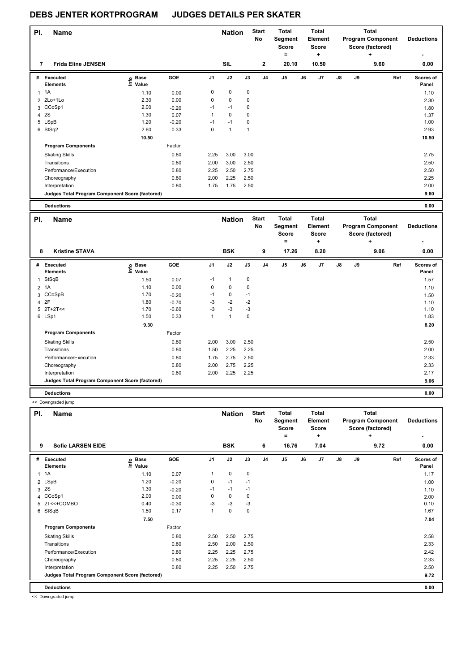| PI.            | <b>Name</b>                                     |                              |         |      | <b>Nation</b> |          | <b>Start</b><br>No | <b>Total</b><br>Segment<br><b>Score</b><br>٠ |    | <b>Total</b><br>Element<br><b>Score</b><br>÷ |               |    | Total<br><b>Program Component</b><br>Score (factored) | <b>Deductions</b>  |
|----------------|-------------------------------------------------|------------------------------|---------|------|---------------|----------|--------------------|----------------------------------------------|----|----------------------------------------------|---------------|----|-------------------------------------------------------|--------------------|
| 7              | <b>Frida Eline JENSEN</b>                       |                              |         |      | SIL           |          | $\mathbf{2}$       | 20.10                                        |    | 10.50                                        |               |    | ÷<br>9.60                                             | ۰<br>0.00          |
| #              | Executed<br><b>Elements</b>                     | <b>Base</b><br>lnfo<br>Value | GOE     | J1   | J2            | J3       | J <sub>4</sub>     | J <sub>5</sub>                               | J6 | J7                                           | $\mathsf{J}8$ | J9 | Ref                                                   | Scores of<br>Panel |
| $\mathbf{1}$   | 1A                                              | 1.10                         | 0.00    | 0    | 0             | 0        |                    |                                              |    |                                              |               |    |                                                       | 1.10               |
| $\overline{2}$ | 2Lo+1Lo                                         | 2.30                         | 0.00    | 0    | $\mathbf 0$   | 0        |                    |                                              |    |                                              |               |    |                                                       | 2.30               |
|                | 3 CCoSp1                                        | 2.00                         | $-0.20$ | $-1$ | $-1$          | $\Omega$ |                    |                                              |    |                                              |               |    |                                                       | 1.80               |
| 4              | <b>2S</b>                                       | 1.30                         | 0.07    |      | 0             | $\Omega$ |                    |                                              |    |                                              |               |    |                                                       | 1.37               |
|                | 5 LSpB                                          | 1.20                         | $-0.20$ | $-1$ | $-1$          | $\Omega$ |                    |                                              |    |                                              |               |    |                                                       | 1.00               |
|                | 6 StSq2                                         | 2.60                         | 0.33    | 0    | $\mathbf{1}$  | 1        |                    |                                              |    |                                              |               |    |                                                       | 2.93               |
|                |                                                 | 10.50                        |         |      |               |          |                    |                                              |    |                                              |               |    |                                                       | 10.50              |
|                | <b>Program Components</b>                       |                              | Factor  |      |               |          |                    |                                              |    |                                              |               |    |                                                       |                    |
|                | <b>Skating Skills</b>                           |                              | 0.80    | 2.25 | 3.00          | 3.00     |                    |                                              |    |                                              |               |    |                                                       | 2.75               |
|                | Transitions                                     |                              | 0.80    | 2.00 | 3.00          | 2.50     |                    |                                              |    |                                              |               |    |                                                       | 2.50               |
|                | Performance/Execution                           |                              | 0.80    | 2.25 | 2.50          | 2.75     |                    |                                              |    |                                              |               |    |                                                       | 2.50               |
|                | Choreography                                    |                              | 0.80    | 2.00 | 2.25          | 2.50     |                    |                                              |    |                                              |               |    |                                                       | 2.25               |
|                | Interpretation                                  |                              | 0.80    | 1.75 | 1.75          | 2.50     |                    |                                              |    |                                              |               |    |                                                       | 2.00               |
|                | Judges Total Program Component Score (factored) |                              |         |      |               |          |                    |                                              |    |                                              |               |    |                                                       | 9.60               |
|                | <b>Deductions</b>                               |                              |         |      |               |          |                    |                                              |    |                                              |               |    |                                                       | 0.00               |

| PI.          | <b>Name</b>                                     |                              |         |                | <b>Nation</b> |      | <b>Start</b><br>No | Total<br>Segment<br><b>Score</b> |    | Total<br>Element<br><b>Score</b> |               |    | <b>Total</b><br><b>Program Component</b><br>Score (factored) | <b>Deductions</b>         |
|--------------|-------------------------------------------------|------------------------------|---------|----------------|---------------|------|--------------------|----------------------------------|----|----------------------------------|---------------|----|--------------------------------------------------------------|---------------------------|
| 8            | <b>Kristine STAVA</b>                           |                              |         |                | <b>BSK</b>    |      |                    | =<br>17.26                       |    | ÷<br>8.20                        |               |    | ٠<br>9.06                                                    | $\blacksquare$            |
|              |                                                 |                              |         |                |               |      | 9                  |                                  |    |                                  |               |    |                                                              | 0.00                      |
| #            | Executed<br><b>Elements</b>                     | <b>Base</b><br>١nf٥<br>Value | GOE     | J <sub>1</sub> | J2            | J3   | J <sub>4</sub>     | J <sub>5</sub>                   | J6 | J7                               | $\mathsf{J}8$ | J9 | Ref                                                          | <b>Scores of</b><br>Panel |
| $\mathbf{1}$ | StSqB                                           | 1.50                         | 0.07    | $-1$           | 1             | 0    |                    |                                  |    |                                  |               |    |                                                              | 1.57                      |
|              | 2 1A                                            | 1.10                         | 0.00    | 0              | 0             | 0    |                    |                                  |    |                                  |               |    |                                                              | 1.10                      |
|              | 3 CCoSpB                                        | 1.70                         | $-0.20$ | $-1$           | 0             | $-1$ |                    |                                  |    |                                  |               |    |                                                              | 1.50                      |
|              | 4 2F                                            | 1.80                         | $-0.70$ | $-3$           | $-2$          | $-2$ |                    |                                  |    |                                  |               |    |                                                              | 1.10                      |
|              | $5$ 2T+2T<<                                     | 1.70                         | $-0.60$ | $-3$           | $-3$          | $-3$ |                    |                                  |    |                                  |               |    |                                                              | 1.10                      |
|              | 6 LSp1                                          | 1.50                         | 0.33    | $\mathbf{1}$   | 1             | 0    |                    |                                  |    |                                  |               |    |                                                              | 1.83                      |
|              |                                                 | 9.30                         |         |                |               |      |                    |                                  |    |                                  |               |    |                                                              | 8.20                      |
|              | <b>Program Components</b>                       |                              | Factor  |                |               |      |                    |                                  |    |                                  |               |    |                                                              |                           |
|              | <b>Skating Skills</b>                           |                              | 0.80    | 2.00           | 3.00          | 2.50 |                    |                                  |    |                                  |               |    |                                                              | 2.50                      |
|              | Transitions                                     |                              | 0.80    | 1.50           | 2.25          | 2.25 |                    |                                  |    |                                  |               |    |                                                              | 2.00                      |
|              | Performance/Execution                           |                              | 0.80    | 1.75           | 2.75          | 2.50 |                    |                                  |    |                                  |               |    |                                                              | 2.33                      |
|              | Choreography                                    |                              | 0.80    | 2.00           | 2.75          | 2.25 |                    |                                  |    |                                  |               |    |                                                              | 2.33                      |
|              | Interpretation                                  |                              | 0.80    | 2.00           | 2.25          | 2.25 |                    |                                  |    |                                  |               |    |                                                              | 2.17                      |
|              | Judges Total Program Component Score (factored) |                              |         |                |               |      |                    |                                  |    |                                  |               |    |                                                              | 9.06                      |
|              | <b>Deductions</b>                               |                              |         |                |               |      |                    |                                  |    |                                  |               |    |                                                              | 0.00                      |

|     | << Downgraded jump                              |                              |            |                      |               |             |                    |    |                                              |    |                                              |    |    |                                                                   |                        |
|-----|-------------------------------------------------|------------------------------|------------|----------------------|---------------|-------------|--------------------|----|----------------------------------------------|----|----------------------------------------------|----|----|-------------------------------------------------------------------|------------------------|
| PI. | <b>Name</b>                                     |                              |            |                      | <b>Nation</b> |             | <b>Start</b><br>No |    | <b>Total</b><br>Segment<br><b>Score</b><br>Ξ |    | <b>Total</b><br>Element<br><b>Score</b><br>÷ |    |    | <b>Total</b><br><b>Program Component</b><br>Score (factored)<br>÷ | <b>Deductions</b><br>٠ |
| 9   | <b>Sofie LARSEN EIDE</b>                        |                              |            |                      | <b>BSK</b>    |             | 6                  |    | 16.76                                        |    | 7.04                                         |    |    | 9.72                                                              | 0.00                   |
| #   | Executed<br><b>Elements</b>                     | <b>Base</b><br>١nf٥<br>Value | <b>GOE</b> | J <sub>1</sub>       | J2            | J3          | J <sub>4</sub>     | J5 |                                              | J6 | J <sub>7</sub>                               | J8 | J9 | Ref                                                               | Scores of<br>Panel     |
| 1   | 1A                                              | 1.10                         | 0.07       | $\mathbf{1}$         | $\mathbf 0$   | 0           |                    |    |                                              |    |                                              |    |    |                                                                   | 1.17                   |
|     | 2 LSpB                                          | 1.20                         | $-0.20$    | 0                    | $-1$          | $-1$        |                    |    |                                              |    |                                              |    |    |                                                                   | 1.00                   |
| 3   | <b>2S</b>                                       | 1.30                         | $-0.20$    | $-1$                 | $-1$          | $-1$        |                    |    |                                              |    |                                              |    |    |                                                                   | 1.10                   |
|     | 4 CCoSp1                                        | 2.00                         | 0.00       | 0                    | 0             | 0           |                    |    |                                              |    |                                              |    |    |                                                                   | 2.00                   |
|     | 5 2T<<+COMBO                                    | 0.40                         | $-0.30$    | -3                   | $-3$          | $-3$        |                    |    |                                              |    |                                              |    |    |                                                                   | 0.10                   |
|     | 6 StSqB                                         | 1.50                         | 0.17       | $\blacktriangleleft$ | $\mathbf 0$   | $\mathbf 0$ |                    |    |                                              |    |                                              |    |    |                                                                   | 1.67                   |
|     |                                                 | 7.50                         |            |                      |               |             |                    |    |                                              |    |                                              |    |    |                                                                   | 7.04                   |
|     | <b>Program Components</b>                       |                              | Factor     |                      |               |             |                    |    |                                              |    |                                              |    |    |                                                                   |                        |
|     | <b>Skating Skills</b>                           |                              | 0.80       | 2.50                 | 2.50          | 2.75        |                    |    |                                              |    |                                              |    |    |                                                                   | 2.58                   |
|     | Transitions                                     |                              | 0.80       | 2.50                 | 2.00          | 2.50        |                    |    |                                              |    |                                              |    |    |                                                                   | 2.33                   |
|     | Performance/Execution                           |                              | 0.80       | 2.25                 | 2.25          | 2.75        |                    |    |                                              |    |                                              |    |    |                                                                   | 2.42                   |
|     | Choreography                                    |                              | 0.80       | 2.25                 | 2.25          | 2.50        |                    |    |                                              |    |                                              |    |    |                                                                   | 2.33                   |
|     | Interpretation                                  |                              | 0.80       | 2.25                 | 2.50          | 2.75        |                    |    |                                              |    |                                              |    |    |                                                                   | 2.50                   |
|     | Judges Total Program Component Score (factored) |                              |            |                      |               |             |                    |    |                                              |    |                                              |    |    |                                                                   | 9.72                   |
|     | <b>Deductions</b>                               |                              |            |                      |               |             |                    |    |                                              |    |                                              |    |    |                                                                   | 0.00                   |

<< Downgraded jump